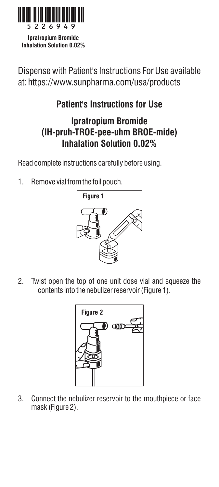

**Ipratropium Bromide Inhalation Solution 0.02%**

Dispense with Patient's Instructions For Use available at: https://www.sunpharma.com/usa/products

## **Patient's Instructions for Use**

## **Ipratropium Bromide (IH-pruh-TROE-pee-uhm BROE-mide) Inhalation Solution 0.02%**

Read complete instructions carefully before using.

1. Remove vial from the foil pouch.



2. Twist open the top of one unit dose vial and squeeze the contents into the nebulizer reservoir (Figure 1).



3. Connect the nebulizer reservoir to the mouthpiece or face mask (Figure 2).